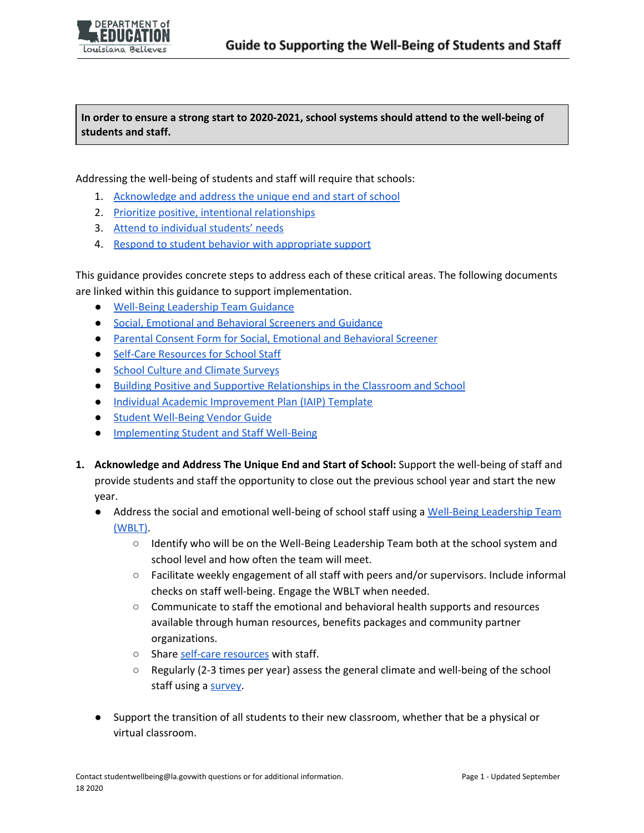**In order to ensure a strong start to 2020-2021, school systems should attend to the well-being of students and staff.**

Addressing the well-being of students and staff will require that schools:

- 1. [Acknowledge](#page-0-0) and address the unique end and start of school
- 2. Prioritize positive, intentional [relationships](#page-1-0)
- 3. Attend to [individual](#page-1-1) students' needs
- 4. Respond to student behavior with [appropriate](#page-2-0) support

This guidance provides concrete steps to address each of these critical areas. The following documents are linked within this guidance to support implementation.

- Well-Being [Leadership](https://www.louisianabelieves.com/docs/default-source/strong-start-2020/mental-health-response-team-guidance.pdf?sfvrsn=70729b1f_10) Team Guidance
- Social, Emotional and [Behavioral](https://www.louisianabelieves.com/docs/default-source/strong-start-2020/universal-mental-health-screeners-and-guidance.pdf?sfvrsn=d4d8981f_2) Screeners and Guidance
- Parental Consent Form for Social, Emotional and [Behavioral](https://www.louisianabelieves.com/docs/default-source/strong-start-2020/parental-consent-form-for-mental-health-screener.pdf?sfvrsn=eed4981f_2) Screener
- Self-Care [Resources](https://www.louisianabelieves.com/docs/default-source/strong-start-2020/self-care-resources-for-school-staff.pdf?sfvrsn=ed8981f_2) for School Staff
- School Culture and Climate [Surveys](https://www.louisianabelieves.com/docs/default-source/strong-start-2020/school-culture-and-climate-surveys.pdf?sfvrsn=72729b1f_2)
- Building Positive and Supportive [Relationships](https://www.louisianabelieves.com/docs/default-source/strong-start-2020/building-positive-and-intentional-relationships-in-the-classroom-and-school.pdf?sfvrsn=8c739b1f_2) in the Classroom and School
- Individual Academic [Improvement](https://www.louisianabelieves.com/docs/default-source/policy/individual-academic-improvement-plan---template8c77fb5b8c9b66d6b292ff0000215f92.docx?sfvrsn=f2ec9d1f_4) Plan (IAIP) Template
- Student [Well-Being](https://www.louisianabelieves.com/docs/default-source/district-support/student-engagement-and-success-partners-guide.pdf?sfvrsn=73f6911f_25) Vendor Guide
- [Implementing](https://www.louisianabelieves.com/docs/default-source/strong-start-2020/implementing-student-and-staff-well-being.pdf?sfvrsn=555981f_2) Student and Staff Well-Being
- <span id="page-0-0"></span>**1. Acknowledge and Address The Unique End and Start of School:** Support the well-being of staff and provide students and staff the opportunity to close out the previous school year and start the new year.
	- Address the social and emotional well-being of school staff using a Well-Being [Leadership](https://www.louisianabelieves.com/docs/default-source/strong-start-2020/mental-health-response-team-guidance.pdf?sfvrsn=70729b1f_10) Team [\(WBLT\)](https://www.louisianabelieves.com/docs/default-source/strong-start-2020/mental-health-response-team-guidance.pdf?sfvrsn=70729b1f_10).
		- Identify who will be on the Well-Being Leadership Team both at the school system and school level and how often the team will meet.
		- Facilitate weekly engagement of all staff with peers and/or supervisors. Include informal checks on staff well-being. Engage the WBLT when needed.
		- Communicate to staff the emotional and behavioral health supports and resources available through human resources, benefits packages and community partner organizations.
		- o Share self-care [resources](https://www.louisianabelieves.com/docs/default-source/strong-start-2020/self-care-resources-for-school-staff.pdf?sfvrsn=ed8981f_2) with staff.
		- Regularly (2-3 times per year) assess the general climate and well-being of the school staff using a [survey.](https://www.louisianabelieves.com/docs/default-source/strong-start-2020/school-culture-and-climate-surveys.pdf?sfvrsn=72729b1f_2)
	- Support the transition of all students to their new classroom, whether that be a physical or virtual classroom.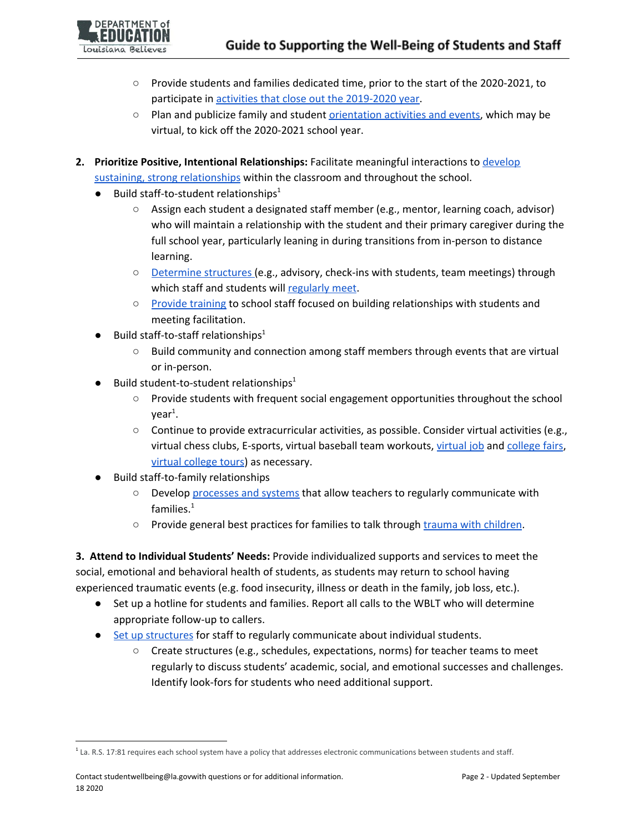- Provide students and families dedicated time, prior to the start of the 2020-2021, to participate in activities that close out the [2019-2020](https://www.louisianabelieves.com/docs/default-source/strong-start-2020/transitioning-school-years---from-2019-2020-to-2020-2021.pdf?sfvrsn=77729b1f_2) year.
- Plan and publicize family and student **[orientation](https://www.louisianabelieves.com/docs/default-source/strong-start-2020/transitioning-school-years---from-2019-2020-to-2020-2021.pdf?sfvrsn=77729b1f_2) activities and events**, which may be virtual, to kick off the 2020-2021 school year.
- <span id="page-1-0"></span>**2. Prioritize Positive, Intentional Relationships:** Facilitate meaningful interactions to [develop](https://www.louisianabelieves.com/docs/default-source/strong-start-2020/building-positive-and-intentional-relationships-in-the-classroom-and-school.pdf?sfvrsn=8c739b1f_2) sustaining, strong [relationships](https://www.louisianabelieves.com/docs/default-source/strong-start-2020/building-positive-and-intentional-relationships-in-the-classroom-and-school.pdf?sfvrsn=8c739b1f_2) within the classroom and throughout the school.
	- $\bullet$  Build staff-to-student relationships<sup>1</sup>
		- Assign each student a designated staff member (e.g., mentor, learning coach, advisor) who will maintain a relationship with the student and their primary caregiver during the full school year, particularly leaning in during transitions from in-person to distance learning.
		- [Determine](https://www.louisianabelieves.com/docs/default-source/district-support/student-engagement-and-success-partners-guide.pdf?sfvrsn=73f6911f_25) structures (e.g., advisory, check-ins with students, team meetings) through which staff and students will [regularly](https://www.louisianabelieves.com/docs/default-source/covid-19-resources/louisiana-continuous-education-toolkit---staffing.pdf) meet.
		- Provide [training](https://www.louisianabelieves.com/docs/default-source/district-support/student-engagement-and-success-partners-guide.pdf?sfvrsn=73f6911f_25) to school staff focused on building relationships with students and meeting facilitation.
	- $\bullet$  Build staff-to-staff relationships<sup>1</sup>
		- Build community and connection among staff members through events that are virtual or in-person.
	- $\bullet$  Build student-to-student relationships<sup>1</sup>
		- Provide students with frequent social engagement opportunities throughout the school year<sup>1</sup>.
		- $\circ$  Continue to provide extracurricular activities, as possible. Consider virtual activities (e.g., virtual chess clubs, E-sports, virtual baseball team workouts, [virtual](https://urbanleaguela.org/virtual-job/) job and [college](https://virtual.gotocollegefairs.com/virtual/collegelist) fairs, virtual [college](https://www.youvisit.com/collegesearch/) tours) as necessary.
	- Build staff-to-family relationships
		- Develop [processes](https://www.louisianabelieves.com/docs/default-source/covid-19-resources/louisiana-continuous-education-toolkit---staffing.pdf) and systems that allow teachers to regularly communicate with families. $^1$
		- Provide general best practices for families to talk through trauma with [children](https://www.louisianabelieves.com/docs/default-source/strong-start-2020/mental-health-response-team-guidance.pdf?sfvrsn=70729b1f_10).

<span id="page-1-1"></span>**3. Attend to Individual Students' Needs:** Provide individualized supports and services to meet the social, emotional and behavioral health of students, as students may return to school having experienced traumatic events (e.g. food insecurity, illness or death in the family, job loss, etc.).

- Set up a hotline for students and families. Report all calls to the WBLT who will determine appropriate follow-up to callers.
- Set up [structures](https://www.louisianabelieves.com/docs/default-source/district-support/student-engagement-and-success-partners-guide.pdf?sfvrsn=73f6911f_25) for staff to regularly communicate about individual students.
	- Create structures (e.g., schedules, expectations, norms) for teacher teams to meet regularly to discuss students' academic, social, and emotional successes and challenges. Identify look-fors for students who need additional support.

<sup>&</sup>lt;sup>1</sup> La. R.S. 17:81 requires each school system have a policy that addresses electronic communications between students and staff.